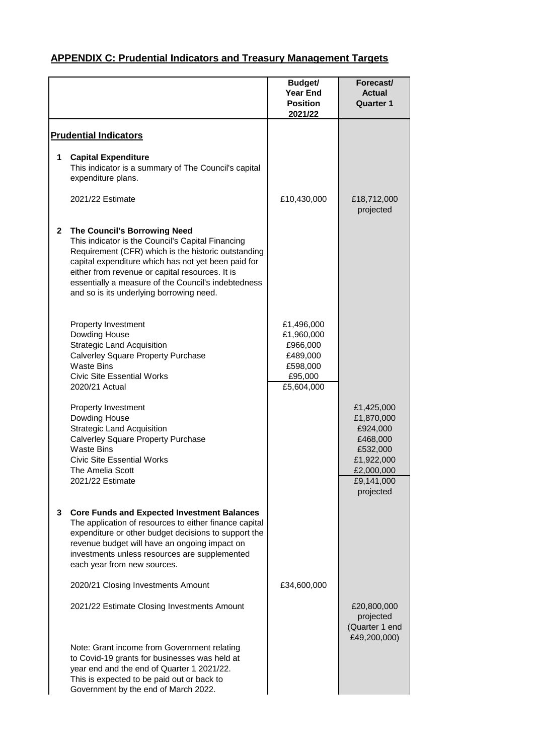|              |                                                                                                                                                                                                                                                                                                                                                       | Budget/<br><b>Year End</b><br><b>Position</b><br>2021/22                              | Forecast/<br><b>Actual</b><br><b>Quarter 1</b>                                                         |
|--------------|-------------------------------------------------------------------------------------------------------------------------------------------------------------------------------------------------------------------------------------------------------------------------------------------------------------------------------------------------------|---------------------------------------------------------------------------------------|--------------------------------------------------------------------------------------------------------|
|              | <b>Prudential Indicators</b>                                                                                                                                                                                                                                                                                                                          |                                                                                       |                                                                                                        |
| 1            | <b>Capital Expenditure</b><br>This indicator is a summary of The Council's capital<br>expenditure plans.                                                                                                                                                                                                                                              |                                                                                       |                                                                                                        |
|              | 2021/22 Estimate                                                                                                                                                                                                                                                                                                                                      | £10,430,000                                                                           | £18,712,000<br>projected                                                                               |
| $\mathbf{2}$ | The Council's Borrowing Need<br>This indicator is the Council's Capital Financing<br>Requirement (CFR) which is the historic outstanding<br>capital expenditure which has not yet been paid for<br>either from revenue or capital resources. It is<br>essentially a measure of the Council's indebtedness<br>and so is its underlying borrowing need. |                                                                                       |                                                                                                        |
|              | <b>Property Investment</b><br>Dowding House<br><b>Strategic Land Acquisition</b><br>Calverley Square Property Purchase<br><b>Waste Bins</b><br><b>Civic Site Essential Works</b><br>2020/21 Actual                                                                                                                                                    | £1,496,000<br>£1,960,000<br>£966,000<br>£489,000<br>£598,000<br>£95,000<br>£5,604,000 |                                                                                                        |
|              | <b>Property Investment</b><br>Dowding House<br><b>Strategic Land Acquisition</b><br>Calverley Square Property Purchase<br><b>Waste Bins</b><br><b>Civic Site Essential Works</b><br>The Amelia Scott<br>2021/22 Estimate                                                                                                                              |                                                                                       | £1,425,000<br>£1,870,000<br>£924,000<br>£468,000<br>£532,000<br>£1,922,000<br>£2,000,000<br>£9,141,000 |
| 3            | <b>Core Funds and Expected Investment Balances</b><br>The application of resources to either finance capital<br>expenditure or other budget decisions to support the<br>revenue budget will have an ongoing impact on<br>investments unless resources are supplemented<br>each year from new sources.                                                 |                                                                                       | projected                                                                                              |
|              | 2020/21 Closing Investments Amount                                                                                                                                                                                                                                                                                                                    | £34,600,000                                                                           |                                                                                                        |
|              | 2021/22 Estimate Closing Investments Amount                                                                                                                                                                                                                                                                                                           |                                                                                       | £20,800,000<br>projected<br>(Quarter 1 end<br>£49,200,000)                                             |
|              | Note: Grant income from Government relating<br>to Covid-19 grants for businesses was held at<br>year end and the end of Quarter 1 2021/22.<br>This is expected to be paid out or back to<br>Government by the end of March 2022.                                                                                                                      |                                                                                       |                                                                                                        |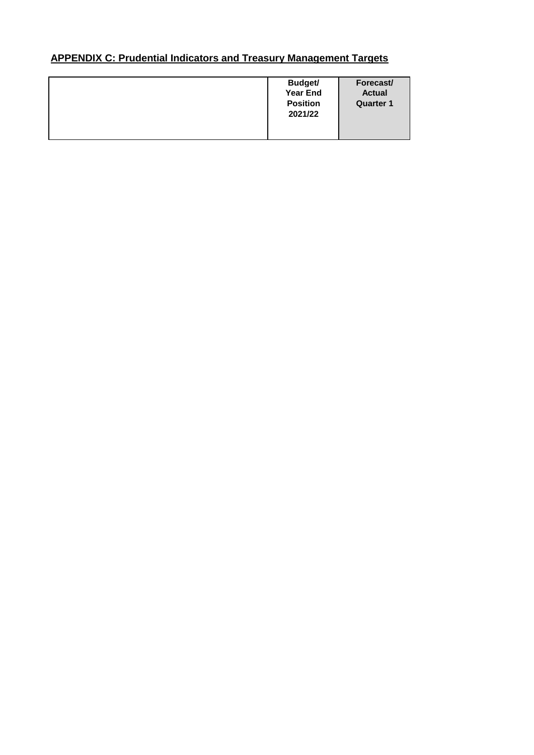|  | <b>Budget/</b><br><b>Year End</b><br><b>Position</b><br>2021/22 | Forecast/<br><b>Actual</b><br><b>Quarter 1</b> |
|--|-----------------------------------------------------------------|------------------------------------------------|
|--|-----------------------------------------------------------------|------------------------------------------------|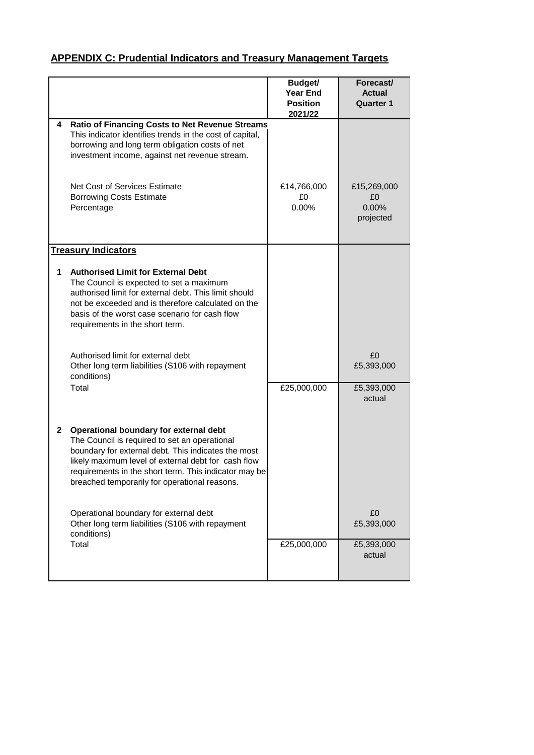|              |                                                                                                                                                                                                                                                                                                                 | Budget/<br><b>Year End</b><br><b>Position</b><br>2021/22 | Forecast/<br><b>Actual</b><br><b>Quarter 1</b> |
|--------------|-----------------------------------------------------------------------------------------------------------------------------------------------------------------------------------------------------------------------------------------------------------------------------------------------------------------|----------------------------------------------------------|------------------------------------------------|
| 4            | <b>Ratio of Financing Costs to Net Revenue Streams</b><br>This indicator identifies trends in the cost of capital,<br>borrowing and long term obligation costs of net<br>investment income, against net revenue stream.                                                                                         |                                                          |                                                |
|              | Net Cost of Services Estimate<br><b>Borrowing Costs Estimate</b><br>Percentage                                                                                                                                                                                                                                  | £14,766,000<br>£0.<br>0.00%                              | £15,269,000<br>£0<br>0.00%<br>projected        |
|              | <b>Treasury Indicators</b>                                                                                                                                                                                                                                                                                      |                                                          |                                                |
| 1            | <b>Authorised Limit for External Debt</b><br>The Council is expected to set a maximum<br>authorised limit for external debt. This limit should<br>not be exceeded and is therefore calculated on the<br>basis of the worst case scenario for cash flow<br>requirements in the short term.                       |                                                          |                                                |
|              | Authorised limit for external debt<br>Other long term liabilities (S106 with repayment<br>conditions)                                                                                                                                                                                                           |                                                          | £0<br>£5,393,000                               |
|              | Total                                                                                                                                                                                                                                                                                                           | £25,000,000                                              | £5,393,000<br>actual                           |
| $\mathbf{2}$ | Operational boundary for external debt<br>The Council is required to set an operational<br>boundary for external debt. This indicates the most<br>likely maximum level of external debt for cash flow<br>requirements in the short term. This indicator may be<br>breached temporarily for operational reasons. |                                                          |                                                |
|              | Operational boundary for external debt<br>Other long term liabilities (S106 with repayment<br>conditions)                                                                                                                                                                                                       |                                                          | £0<br>£5,393,000                               |
|              | Total                                                                                                                                                                                                                                                                                                           | £25,000,000                                              | £5,393,000<br>actual                           |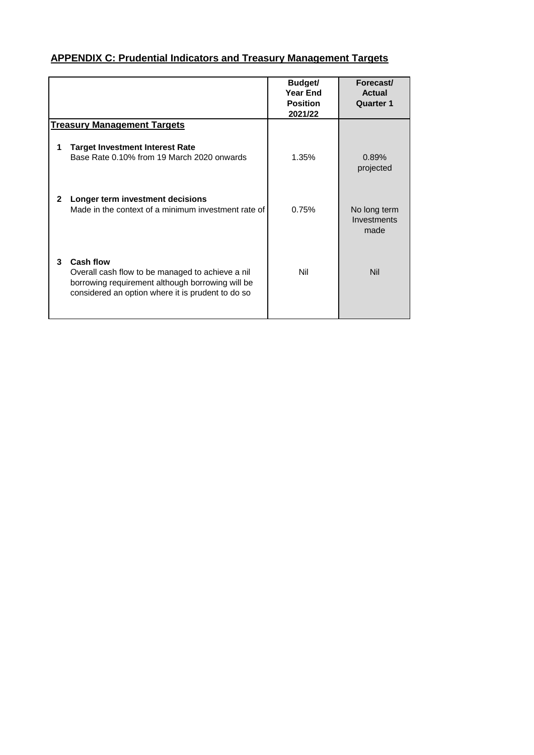|   |                                                                                                                                                                        | Budget/<br><b>Year End</b><br><b>Position</b><br>2021/22 | Forecast/<br>Actual<br><b>Quarter 1</b> |
|---|------------------------------------------------------------------------------------------------------------------------------------------------------------------------|----------------------------------------------------------|-----------------------------------------|
|   | <b>Treasury Management Targets</b>                                                                                                                                     |                                                          |                                         |
| 1 | <b>Target Investment Interest Rate</b><br>Base Rate 0.10% from 19 March 2020 onwards                                                                                   | 1.35%                                                    | 0.89%<br>projected                      |
| 2 | Longer term investment decisions<br>Made in the context of a minimum investment rate of                                                                                | 0.75%                                                    | No long term<br>Investments<br>made     |
| 3 | Cash flow<br>Overall cash flow to be managed to achieve a nil<br>borrowing requirement although borrowing will be<br>considered an option where it is prudent to do so | Nil                                                      | <b>Nil</b>                              |